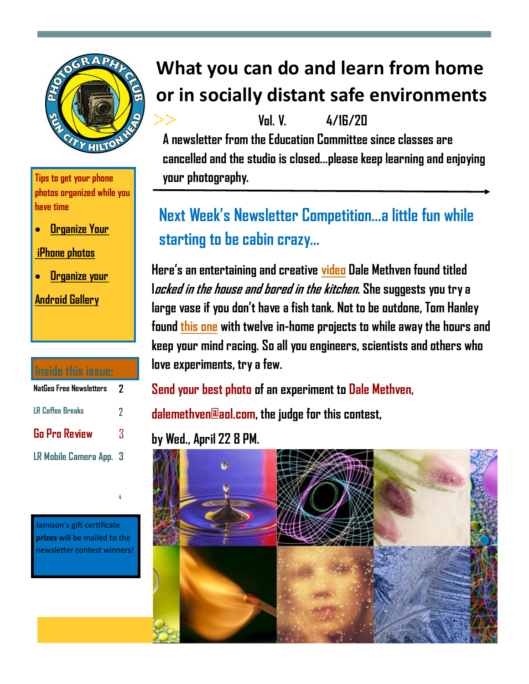

**Tips to get your phone photos organized while you have time**

• **[Organize Your](https://www.artifactuprising.com/photography-tips/iphone-organization-ideas)** 

**[iPhone photos](https://www.artifactuprising.com/photography-tips/iphone-organization-ideas)**

• **[Organize your](https://www.youtube.com/watch?v=Qw2dtv_Q7ZM)** 

**[Android Gallery](https://www.youtube.com/watch?v=Qw2dtv_Q7ZM)**

| Inside this issue:      |   |
|-------------------------|---|
| NatGeo Free Newsletters | 7 |
| <b>LR Coffee Breaks</b> | 7 |
| <b>Go Pro Review</b>    | Χ |
| LR Mobile Camera App. 3 |   |

Jamison's gift certificate **prizes** will be mailed to the newsletter contest winners!

4

# **What you can do and learn from home or in socially distant safe environments**

V<sub>n</sub>l V  $\frac{4}{16}$ **A newsletter from the Education Committee since classes are cancelled and the studio is closed...please keep learning and enjoying your photography.**

# **Next Week's Newsletter Competition...a little fun while starting to be cabin crazy...**

**Here's an entertaining and creative [video](https://www.youtube.com/watch?v=y4ZYqjd5kP0) Dale Methven found titled locked in the house and bored in the kitchen. She suggests you try a large vase if you don't have a fish tank. Not to be outdone, Tom Hanley found [this one](https://www.digitalcameraworld.com/tutorials/stuck-at-home-12-fantastic-photo-projects-to-try-indoors-during-the-covid-19-crisis) with twelve in-home projects to while away the hours and keep your mind racing. So all you engineers, scientists and others who love experiments, try a few.** 

**Send your best photo of an experiment to Dale Methven,** 

**dalemethven@aol.com, the judge for this contest,** 

### **by Wed., April 22 8 PM.**

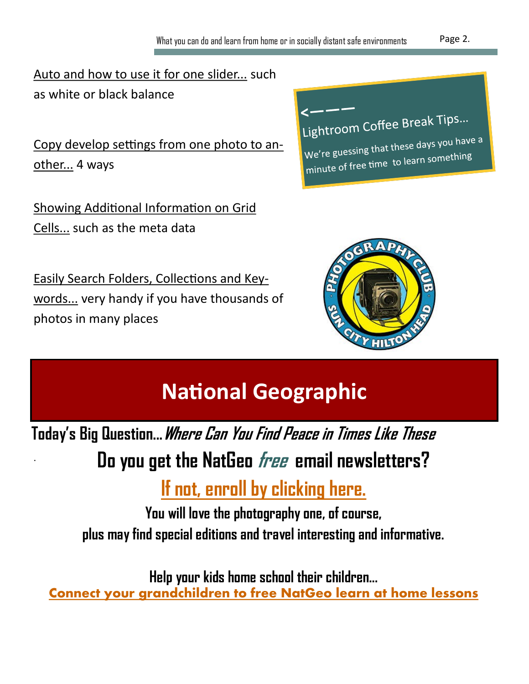[Auto and how to use it for one slider...](https://www.youtube.com/watch?v=946L_lU25PI) such as white or black balance

[Copy develop settings from one photo to an](https://www.youtube.com/watch?v=946L_lU25PI)[other...](https://www.youtube.com/watch?v=946L_lU25PI) 4 ways

[Showing Additional Information on Grid](https://www.youtube.com/watch?v=L0081YMp39U)  [Cells...](https://www.youtube.com/watch?v=L0081YMp39U) such as the meta data

[Easily Search Folders, Collections and Key](https://www.youtube.com/watch?v=qyJ9s7pPdGk)[words...](https://www.youtube.com/watch?v=qyJ9s7pPdGk) very handy if you have thousands of photos in many places

.





**National Geographic**

**Today's Big Question...Where Can You Find Peace in Times Like These**

# **Do you get the NatGeo free email newsletters?**

# **[If not, enroll by clicking here.](https://www.nationalgeographic.com/newsletters/signup?gblftr)**

**You will love the photography one, of course, plus may find special editions and travel interesting and informative.**

**Help your kids home school their children...**

**[Connect your grandchildren to free NatGeo learn at home lessons](https://www.nationalgeographic.org/education/classroom-resources/learn-at-home/?utm_source=nationalgeographic.com&utm_medium=referral&utm_campaign=learn-at-home)**